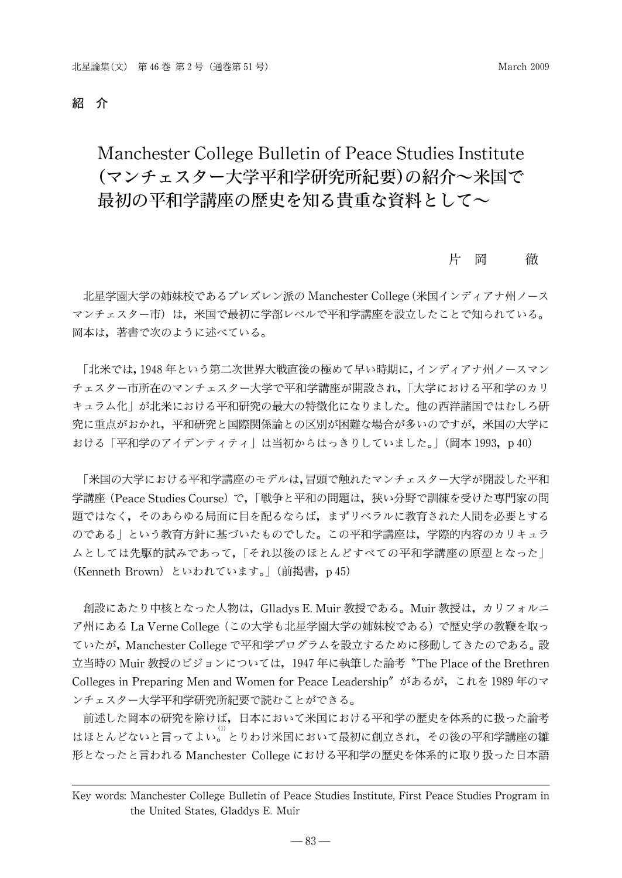#### 紹 介

# Manchester College Bulletin of Peace Studies Institute (マンチェスター大学平和学研究所紀要)の紹介~米国で 最初の平和学講座の歴史を知る貴重な資料として~

#### 片 岡 徹

北星学園大学の姉妹校であるブレズレン派の ManchesterCollege(米国インディアナ州ノース マンチェスター市)は,米国で最初に学部レベルで平和学講座を設立したことで知られている。 岡本は,著書で次のように述べている。

「北米では,1948年という第二次世界大戦直後の極めて早い時期に,インディアナ州ノースマン チェスター市所在のマンチェスター大学で平和学講座が開設され,「大学における平和学のカリ キュラム化」が北米における平和研究の最大の特徴化になりました。他の西洋諸国ではむしろ研 究に重点がおかれ,平和研究と国際関係論との区別が困難な場合が多いのですが,米国の大学に おける「平和学のアイデンティティ」は当初からはっきりしていました。| (岡本 1993, p40)

「米国の大学における平和学講座のモデルは,冒頭で触れたマンチェスター大学が開設した平和 学講座(Peace Studies Course)で,「戦争と平和の問題は、狭い分野で訓練を受けた専門家の問 題ではなく,そのあらゆる局面に目を配るならば,まずリベラルに教育された人間を必要とする のである」という教育方針に基づいたものでした。この平和学講座は,学際的内容のカリキュラ ムとしては先駆的試みであって,「それ以後のほとんどすべての平和学講座の原型となった」 (Kenneth Brown) といわれています。」(前掲書, p45)

創設にあたり中核となった人物は,GlladysE.Muir教授である。Muir教授は,カリフォルニ ア州にある LaVerneCollege(この大学も北星学園大学の姉妹校である)で歴史学の教鞭を取っ ていたが,ManchesterCollegeで平和学プログラムを設立するために移動してきたのである。設 立当時の Muir 教授のビジョンについては,1947 年に執筆した論考〝The Place of the Brethren Colleges in Preparing Men and Women for PeaceLeadership" があるが,これを 1989年のマ ンチェスター大学平和学研究所紀要で読むことができる。

前述した岡本の研究を除けば,日本において米国における平和学の歴史を体系的に扱った論考 はほとんどないと言ってよい。<sup>(1)</sup>とりわけ米国において最初に創立され,その後の平和学講座の雛 形となったと言われる Manchester College における平和学の歴史を体系的に取り扱った日本語

Key words: Manchester College Bulletin of Peace Studies Institute, First Peace Studies Program in the United States, Gladdys E. Muir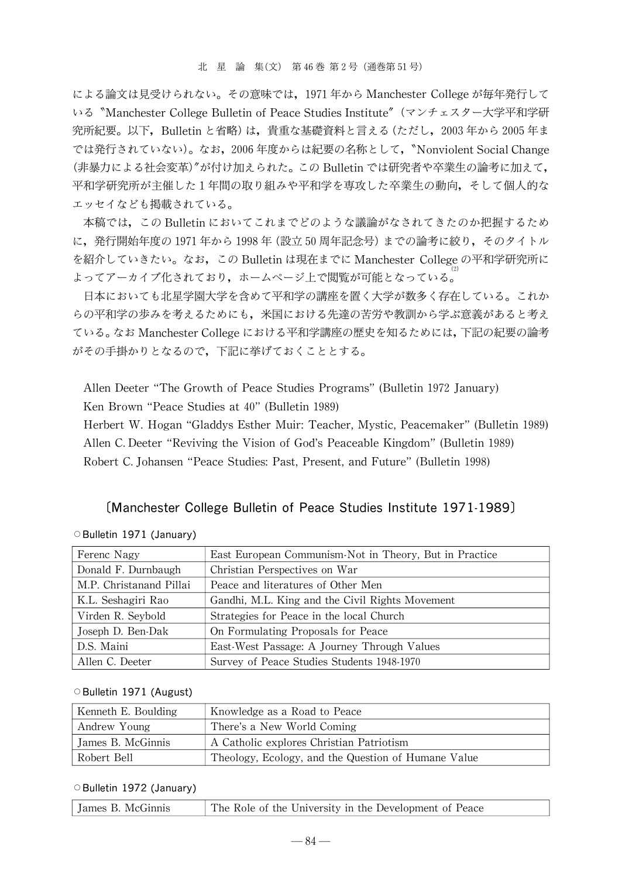による論文は見受けられない。その意味では,1971年から Manchester Collegeが毎年発行して いる "Manchester College Bulletin of Peace Studies Institute" (マンチェスター大学平和学研 究所紀要。以下,Bulletinと省略)は,貴重な基礎資料と言える(ただし,2003年から 2005年ま では発行されていない)。なお,2006年度からは紀要の名称として,〝Nonviolent SocialChange (非暴力による社会変革)"が付け加えられた。この Bulletinでは研究者や卒業生の論考に加えて, 平和学研究所が主催した1年間の取り組みや平和学を専攻した卒業生の動向,そして個人的な エッセイなども掲載されている。

本稿では,この Bulletinにおいてこれまでどのような議論がなされてきたのか把握するため に,発行開始年度の 1971年から 1998年(設立 50周年記念号)までの論考に絞り,そのタイトル を紹介していきたい。なお,この Bulletinは現在までに Manchester Collegeの平和学研究所に よってアーカイブ化されており,ホームページ上で閲覧が可能となっている。<sup>(2)</sup>

日本においても北星学園大学を含めて平和学の講座を置く大学が数多く存在している。これか らの平和学の歩みを考えるためにも,米国における先達の苦労や教訓から学ぶ意義があると考え ている。なお ManchesterCollegeにおける平和学講座の歴史を知るためには,下記の紀要の論考 がその手掛かりとなるので,下記に挙げておくこととする。

Allen Deeter "The Growth of Peace Studies Programs"(Bulletin 1972 January) Ken Brown "Peace Studies at 40"(Bulletin 1989)

Herbert W. Hogan "Gladdys Esther Muir: Teacher, Mystic, Peacemaker" (Bulletin 1989) Allen C.Deeter "Reviving the Vision of God's Peaceable Kingdom"(Bulletin 1989) Robert C.Johansen "Peace Studies:Past, Present,and Future"(Bulletin 1998)

### [Manchester College Bulletin of Peace Studies Institute 1971-1989]

| Ferenc Nagy             | East European Communism-Not in Theory, But in Practice |
|-------------------------|--------------------------------------------------------|
| Donald F. Durnbaugh     | Christian Perspectives on War                          |
| M.P. Christanand Pillai | Peace and literatures of Other Men                     |
| K.L. Seshagiri Rao      | Gandhi, M.L. King and the Civil Rights Movement        |
| Virden R. Seybold       | Strategies for Peace in the local Church               |
| Joseph D. Ben-Dak       | On Formulating Proposals for Peace                     |
| D.S. Maini              | East-West Passage: A Journey Through Values            |
| Allen C. Deeter         | Survey of Peace Studies Students 1948-1970             |

O Bulletin 1971 (January)

#### O Bulletin 1971 (August)

| Kenneth E. Boulding | Knowledge as a Road to Peace                        |
|---------------------|-----------------------------------------------------|
| Andrew Young        | There's a New World Coming                          |
| James B. McGinnis   | A Catholic explores Christian Patriotism            |
| Robert Bell         | Theology, Ecology, and the Question of Humane Value |

#### O Bulletin 1972 (January)

| The Role of the University in the Development of Peace<br>James B. McGinnis |
|-----------------------------------------------------------------------------|
|-----------------------------------------------------------------------------|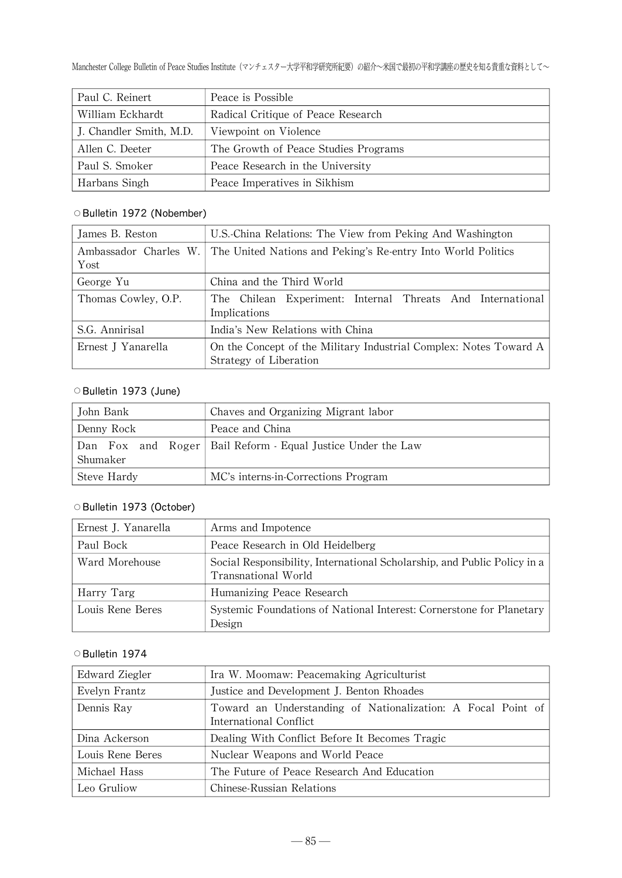Manchester College Bulletin of Peace Studies Institute (マンチェスター大学平和学研究所紀要) の紹介~米国で最初の平和学講座の歴史を知る貴重な資料として~

| Paul C. Reinert         | Peace is Possible                    |
|-------------------------|--------------------------------------|
| William Eckhardt        | Radical Critique of Peace Research   |
| J. Chandler Smith, M.D. | Viewpoint on Violence                |
| Allen C. Deeter         | The Growth of Peace Studies Programs |
| Paul S. Smoker          | Peace Research in the University     |
| Harbans Singh           | Peace Imperatives in Sikhism         |

# O Bulletin 1972 (Nobember)

| James B. Reston               | U.S. China Relations: The View from Peking And Washington                                   |
|-------------------------------|---------------------------------------------------------------------------------------------|
| Ambassador Charles W.<br>Yost | The United Nations and Peking's Re-entry Into World Politics                                |
| George Yu                     | China and the Third World                                                                   |
| Thomas Cowley, O.P.           | The Chilean Experiment: Internal Threats And International<br>Implications                  |
| S.G. Annirisal                | India's New Relations with China                                                            |
| Ernest J Yanarella            | On the Concept of the Military Industrial Complex: Notes Toward A<br>Strategy of Liberation |

#### O Bulletin 1973 (June)

| John Bank   | Chaves and Organizing Migrant labor                           |
|-------------|---------------------------------------------------------------|
| Denny Rock  | Peace and China                                               |
| Shumaker    | Dan Fox and Roger   Bail Reform - Equal Justice Under the Law |
| Steve Hardy | MC's interns-in-Corrections Program                           |

# O Bulletin 1973 (October)

| Ernest J. Yanarella | Arms and Impotence                                                                              |
|---------------------|-------------------------------------------------------------------------------------------------|
| Paul Bock           | Peace Research in Old Heidelberg                                                                |
| Ward Morehouse      | Social Responsibility, International Scholarship, and Public Policy in a<br>Transnational World |
| Harry Targ          | Humanizing Peace Research                                                                       |
| Louis Rene Beres    | Systemic Foundations of National Interest: Cornerstone for Planetary<br>Design                  |

| Edward Ziegler   | Ira W. Moomaw: Peacemaking Agriculturist                                               |
|------------------|----------------------------------------------------------------------------------------|
| Evelyn Frantz    | Justice and Development J. Benton Rhoades                                              |
| Dennis Ray       | Toward an Understanding of Nationalization: A Focal Point of<br>International Conflict |
| Dina Ackerson    | Dealing With Conflict Before It Becomes Tragic                                         |
| Louis Rene Beres | Nuclear Weapons and World Peace                                                        |
| Michael Hass     | The Future of Peace Research And Education                                             |
| Leo Gruliow      | Chinese-Russian Relations                                                              |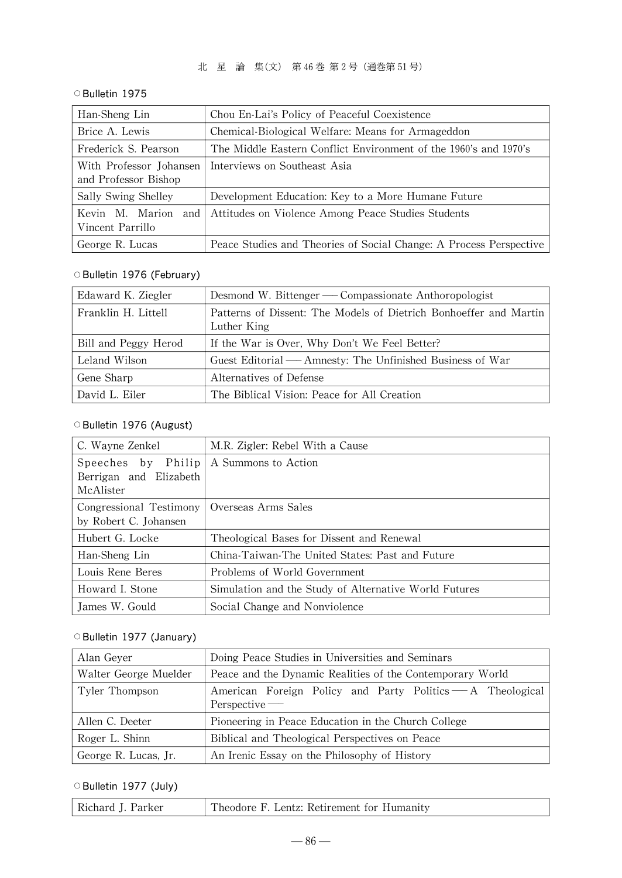### ○Bulletin 1975

| Han-Sheng Lin                                   | Chou En-Lai's Policy of Peaceful Coexistence                       |
|-------------------------------------------------|--------------------------------------------------------------------|
| Brice A. Lewis                                  | Chemical-Biological Welfare: Means for Armageddon                  |
| Frederick S. Pearson                            | The Middle Eastern Conflict Environment of the 1960's and 1970's   |
| With Professor Johansen<br>and Professor Bishop | Interviews on Southeast Asia                                       |
| Sally Swing Shelley                             | Development Education: Key to a More Humane Future                 |
| Kevin M. Marion and I<br>Vincent Parrillo       | Attitudes on Violence Among Peace Studies Students                 |
| George R. Lucas                                 | Peace Studies and Theories of Social Change: A Process Perspective |

### O Bulletin 1976 (February)

| Edaward K. Ziegler   | Desmond W. Bittenger — Compassionate Anthoropologist              |
|----------------------|-------------------------------------------------------------------|
| Franklin H. Littell  | Patterns of Dissent: The Models of Dietrich Bonhoeffer and Martin |
|                      | Luther King                                                       |
| Bill and Peggy Herod | If the War is Over, Why Don't We Feel Better?                     |
| Leland Wilson        | Guest Editorial — Amnesty: The Unfinished Business of War         |
| Gene Sharp           | Alternatives of Defense                                           |
| David L. Eiler       | The Biblical Vision: Peace for All Creation                       |

#### O Bulletin 1976 (August)

| C. Wayne Zenkel                                                                 | M.R. Zigler: Rebel With a Cause                       |
|---------------------------------------------------------------------------------|-------------------------------------------------------|
| Speeches by Philip   A Summons to Action<br>Berrigan and Elizabeth<br>McAlister |                                                       |
| Congressional Testimony<br>by Robert C. Johansen                                | Overseas Arms Sales                                   |
| Hubert G. Locke                                                                 | Theological Bases for Dissent and Renewal             |
| Han-Sheng Lin                                                                   | China-Taiwan-The United States: Past and Future       |
| Louis Rene Beres                                                                | Problems of World Government                          |
| Howard I. Stone                                                                 | Simulation and the Study of Alternative World Futures |
| James W. Gould                                                                  | Social Change and Nonviolence                         |

# O Bulletin 1977 (January)

| Alan Gever            | Doing Peace Studies in Universities and Seminars                          |
|-----------------------|---------------------------------------------------------------------------|
| Walter George Muelder | Peace and the Dynamic Realities of the Contemporary World                 |
| Tyler Thompson        | American Foreign Policy and Party Politics — A Theological<br>Perspective |
| Allen C. Deeter       | Pioneering in Peace Education in the Church College                       |
| Roger L. Shinn        | Biblical and Theological Perspectives on Peace                            |
| George R. Lucas, Jr.  | An Irenic Essay on the Philosophy of History                              |

# O Bulletin 1977 (July)

| Richard J. Parker | Theodore F. Lentz: Retirement for Humanity |
|-------------------|--------------------------------------------|
|                   |                                            |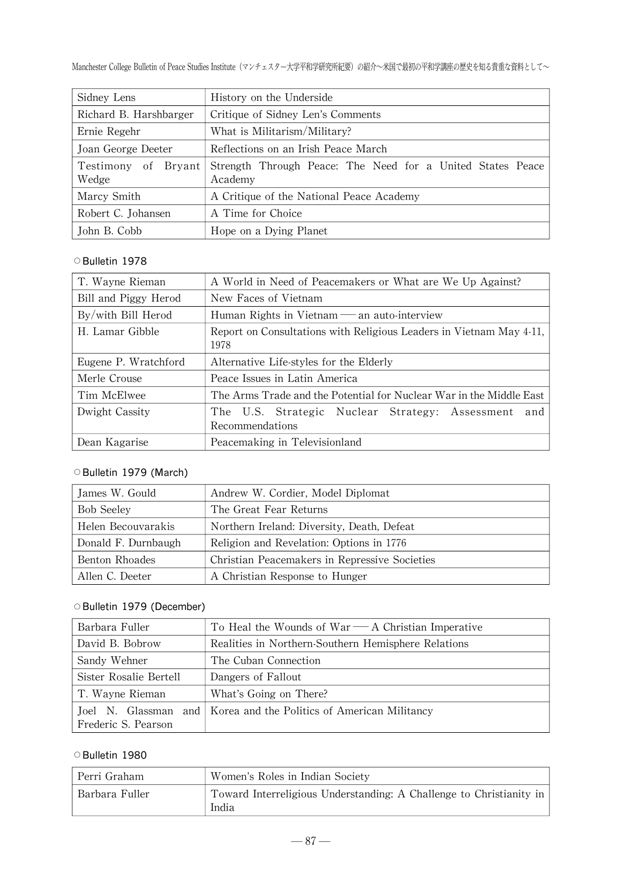Manchester College Bulletin of Peace Studies Institute (マンチェスター大学平和学研究所紀要) の紹介~米国で最初の平和学講座の歴史を知る貴重な資料として~

| Sidney Lens                          | History on the Underside                                              |
|--------------------------------------|-----------------------------------------------------------------------|
| Richard B. Harshbarger               | Critique of Sidney Len's Comments                                     |
| Ernie Regehr                         | What is Militarism/Military?                                          |
| Joan George Deeter                   | Reflections on an Irish Peace March                                   |
| Bryant  <br>of<br>Testimony<br>Wedge | Strength Through Peace: The Need for a United States Peace<br>Academy |
| Marcy Smith                          | A Critique of the National Peace Academy                              |
| Robert C. Johansen                   | A Time for Choice                                                     |
| John B. Cobb                         | Hope on a Dying Planet                                                |

### ○Bulletin 1978

| T. Wayne Rieman      | A World in Need of Peacemakers or What are We Up Against?                   |
|----------------------|-----------------------------------------------------------------------------|
| Bill and Piggy Herod | New Faces of Vietnam                                                        |
| By/with Bill Herod   | Human Rights in Vietnam — an auto-interview                                 |
| H. Lamar Gibble      | Report on Consultations with Religious Leaders in Vietnam May 4-11,<br>1978 |
| Eugene P. Wratchford | Alternative Life-styles for the Elderly                                     |
| Merle Crouse         | Peace Issues in Latin America                                               |
| Tim McElwee          | The Arms Trade and the Potential for Nuclear War in the Middle East         |
| Dwight Cassity       | The U.S. Strategic Nuclear Strategy: Assessment<br>and<br>Recommendations   |
| Dean Kagarise        | Peacemaking in Televisionland                                               |

### O Bulletin 1979 (March)

| James W. Gould      | Andrew W. Cordier, Model Diplomat             |
|---------------------|-----------------------------------------------|
| <b>Bob Seeley</b>   | The Great Fear Returns                        |
| Helen Becouvarakis  | Northern Ireland: Diversity, Death, Defeat    |
| Donald F. Durnbaugh | Religion and Revelation: Options in 1776      |
| Benton Rhoades      | Christian Peacemakers in Repressive Societies |
| Allen C. Deeter     | A Christian Response to Hunger                |

# OBulletin 1979 (December)

| Barbara Fuller         | To Heal the Wounds of $War - A$ Christian Imperative              |
|------------------------|-------------------------------------------------------------------|
| David B. Bobrow        | Realities in Northern-Southern Hemisphere Relations               |
| Sandy Wehner           | The Cuban Connection                                              |
| Sister Rosalie Bertell | Dangers of Fallout                                                |
| T. Wayne Rieman        | What's Going on There?                                            |
| Frederic S. Pearson    | Joel N. Glassman and Korea and the Politics of American Militancy |

# ○Bulletin 19 80

| Perri Graham   | Women's Roles in Indian Society                                              |
|----------------|------------------------------------------------------------------------------|
| Barbara Fuller | Toward Interreligious Understanding: A Challenge to Christianity in<br>India |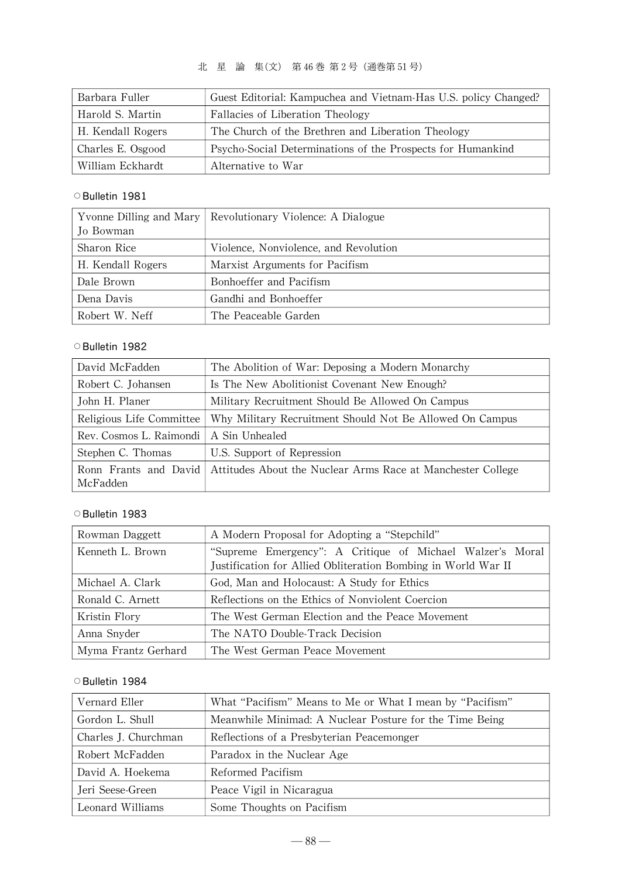# 北 星 論 集(文) 第 46巻 第2号(通巻第 51号)

| Barbara Fuller    | Guest Editorial: Kampuchea and Vietnam-Has U.S. policy Changed? |
|-------------------|-----------------------------------------------------------------|
| Harold S. Martin  | Fallacies of Liberation Theology                                |
| H. Kendall Rogers | The Church of the Brethren and Liberation Theology              |
| Charles E. Osgood | Psycho-Social Determinations of the Prospects for Humankind     |
| William Eckhardt  | Alternative to War                                              |

#### ○Bulletin 1981

|                   | Yvonne Dilling and Mary Revolutionary Violence: A Dialogue |
|-------------------|------------------------------------------------------------|
| Io Bowman         |                                                            |
| Sharon Rice       | Violence, Nonviolence, and Revolution                      |
| H. Kendall Rogers | Marxist Arguments for Pacifism                             |
| Dale Brown        | Bonhoeffer and Pacifism                                    |
| Dena Davis        | Gandhi and Bonhoeffer                                      |
| Robert W. Neff    | The Peaceable Garden                                       |

### ○Bulletin 1982

| David McFadden           | The Abolition of War: Deposing a Modern Monarchy            |
|--------------------------|-------------------------------------------------------------|
| Robert C. Johansen       | Is The New Abolitionist Covenant New Enough?                |
| John H. Planer           | Military Recruitment Should Be Allowed On Campus            |
| Religious Life Committee | Why Military Recruitment Should Not Be Allowed On Campus    |
| Rev. Cosmos L. Raimondi  | A Sin Unhealed                                              |
| Stephen C. Thomas        | U.S. Support of Repression                                  |
| Ronn Frants and David    | Attitudes About the Nuclear Arms Race at Manchester College |
| McFadden                 |                                                             |

### ○Bulletin 1983

| Rowman Daggett      | A Modern Proposal for Adopting a "Stepchild"                  |
|---------------------|---------------------------------------------------------------|
| Kenneth L. Brown    | "Supreme Emergency": A Critique of Michael Walzer's Moral     |
|                     | Justification for Allied Obliteration Bombing in World War II |
| Michael A. Clark    | God, Man and Holocaust: A Study for Ethics                    |
| Ronald C. Arnett    | Reflections on the Ethics of Nonviolent Coercion              |
| Kristin Flory       | The West German Election and the Peace Movement               |
| Anna Snyder         | The NATO Double-Track Decision                                |
| Myma Frantz Gerhard | The West German Peace Movement                                |

| Vernard Eller        | What "Pacifism" Means to Me or What I mean by "Pacifism" |
|----------------------|----------------------------------------------------------|
| Gordon L. Shull      | Meanwhile Minimad: A Nuclear Posture for the Time Being  |
| Charles J. Churchman | Reflections of a Presbyterian Peacemonger                |
| Robert McFadden      | Paradox in the Nuclear Age                               |
| David A. Hoekema     | Reformed Pacifism                                        |
| Jeri Seese-Green     | Peace Vigil in Nicaragua                                 |
| Leonard Williams     | Some Thoughts on Pacifism                                |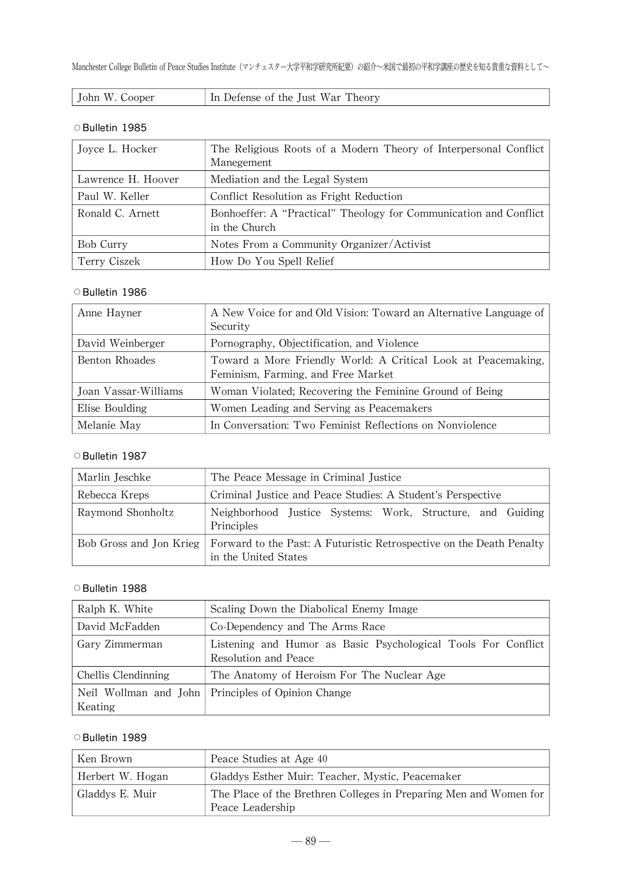| John W. Cooper |
|----------------|
|----------------|

#### ○Bulletin 1985

| Joyce L. Hocker    | The Religious Roots of a Modern Theory of Interpersonal Conflict<br>Manegement     |
|--------------------|------------------------------------------------------------------------------------|
| Lawrence H. Hoover | Mediation and the Legal System                                                     |
| Paul W. Keller     | Conflict Resolution as Fright Reduction                                            |
| Ronald C. Arnett   | Bonhoeffer: A "Practical" Theology for Communication and Conflict<br>in the Church |
| Bob Curry          | Notes From a Community Organizer/Activist                                          |
| Terry Ciszek       | How Do You Spell Relief                                                            |

#### ○Bulletin 19 86

| Anne Hayner          | A New Voice for and Old Vision: Toward an Alternative Language of<br>Security                       |
|----------------------|-----------------------------------------------------------------------------------------------------|
| David Weinberger     | Pornography, Objectification, and Violence                                                          |
| Benton Rhoades       | Toward a More Friendly World: A Critical Look at Peacemaking,<br>Feminism, Farming, and Free Market |
| Joan Vassar-Williams | Woman Violated; Recovering the Feminine Ground of Being                                             |
| Elise Boulding       | Women Leading and Serving as Peacemakers                                                            |
| Melanie May          | In Conversation: Two Feminist Reflections on Nonviolence                                            |

#### ○Bulletin 1987

| Marlin Jeschke    | The Peace Message in Criminal Justice                                                                                  |
|-------------------|------------------------------------------------------------------------------------------------------------------------|
| Rebecca Kreps     | Criminal Justice and Peace Studies: A Student's Perspective                                                            |
| Raymond Shonholtz | Neighborhood Justice Systems: Work, Structure, and Guiding<br>Principles                                               |
|                   | Bob Gross and Jon Krieg   Forward to the Past: A Futuristic Retrospective on the Death Penalty<br>in the United States |

### ○Bulletin 1988

| Ralph K. White      | Scaling Down the Diabolical Enemy Image                                               |
|---------------------|---------------------------------------------------------------------------------------|
| David McFadden      | Co-Dependency and The Arms Race                                                       |
| Gary Zimmerman      | Listening and Humor as Basic Psychological Tools For Conflict<br>Resolution and Peace |
| Chellis Clendinning | The Anatomy of Heroism For The Nuclear Age                                            |
| Keating             | Neil Wollman and John Principles of Opinion Change                                    |

| Ken Brown        | Peace Studies at Age 40                                                               |
|------------------|---------------------------------------------------------------------------------------|
| Herbert W. Hogan | Gladdys Esther Muir: Teacher, Mystic, Peacemaker                                      |
| Gladdys E. Muir  | The Place of the Brethren Colleges in Preparing Men and Women for<br>Peace Leadership |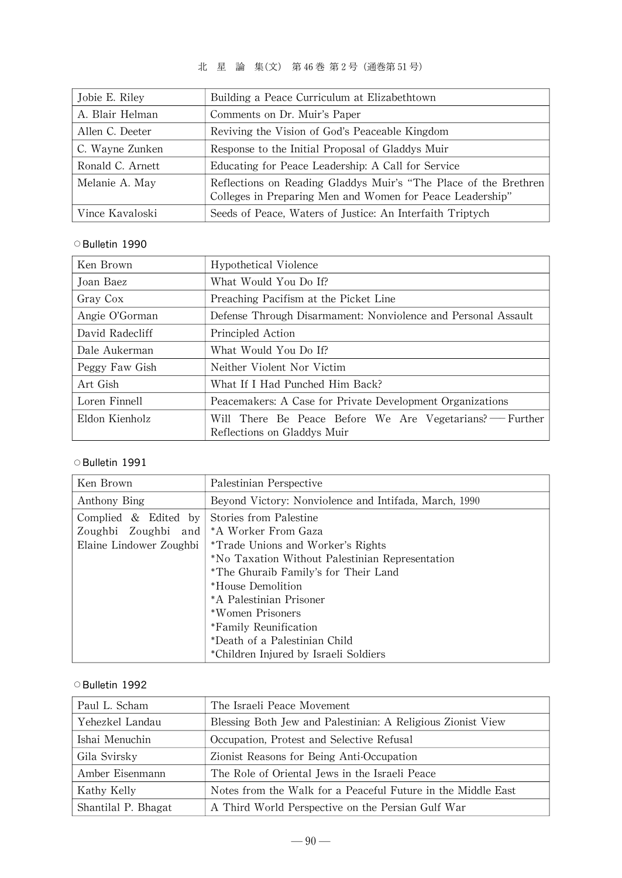# 北 星 論 集(文) 第 46巻 第2号(通巻第 51号)

| Jobie E. Riley   | Building a Peace Curriculum at Elizabethtown                                                                                  |
|------------------|-------------------------------------------------------------------------------------------------------------------------------|
| A. Blair Helman  | Comments on Dr. Muir's Paper                                                                                                  |
| Allen C. Deeter  | Reviving the Vision of God's Peaceable Kingdom                                                                                |
| C. Wayne Zunken  | Response to the Initial Proposal of Gladdys Muir                                                                              |
| Ronald C. Arnett | Educating for Peace Leadership: A Call for Service                                                                            |
| Melanie A. May   | Reflections on Reading Gladdys Muir's "The Place of the Brethren<br>Colleges in Preparing Men and Women for Peace Leadership" |
| Vince Kavaloski  | Seeds of Peace, Waters of Justice: An Interfaith Triptych                                                                     |

### ○Bulletin 1990

| Ken Brown       | Hypothetical Violence                                                                   |
|-----------------|-----------------------------------------------------------------------------------------|
| Joan Baez       | What Would You Do If?                                                                   |
| Gray Cox        | Preaching Pacifism at the Picket Line                                                   |
| Angie O'Gorman  | Defense Through Disarmament: Nonviolence and Personal Assault                           |
| David Radecliff | Principled Action                                                                       |
| Dale Aukerman   | What Would You Do If?                                                                   |
| Peggy Faw Gish  | Neither Violent Nor Victim                                                              |
| Art Gish        | What If I Had Punched Him Back?                                                         |
| Loren Finnell   | Peacemakers: A Case for Private Development Organizations                               |
| Eldon Kienholz  | Will There Be Peace Before We Are Vegetarians? — Further<br>Reflections on Gladdys Muir |

### ○Bulletin 1991

| Ken Brown               | Palestinian Perspective                               |
|-------------------------|-------------------------------------------------------|
| Anthony Bing            | Beyond Victory: Nonviolence and Intifada, March, 1990 |
| Complied $\&$ Edited by | Stories from Palestine                                |
| Zoughbi Zoughbi<br>and  | *A Worker From Gaza                                   |
| Elaine Lindower Zoughbi | <i>*Trade Unions and Worker's Rights</i>              |
|                         | *No Taxation Without Palestinian Representation       |
|                         | *The Ghuraib Family's for Their Land                  |
|                         | *House Demolition                                     |
|                         | *A Palestinian Prisoner                               |
|                         | *Women Prisoners                                      |
|                         | *Family Reunification                                 |
|                         | *Death of a Palestinian Child                         |
|                         | *Children Injured by Israeli Soldiers                 |

| Paul L. Scham       | The Israeli Peace Movement                                   |
|---------------------|--------------------------------------------------------------|
| Yehezkel Landau     | Blessing Both Jew and Palestinian: A Religious Zionist View  |
| Ishai Menuchin      | Occupation, Protest and Selective Refusal                    |
| Gila Svirsky        | Zionist Reasons for Being Anti-Occupation                    |
| Amber Eisenmann     | The Role of Oriental Jews in the Israeli Peace               |
| Kathy Kelly         | Notes from the Walk for a Peaceful Future in the Middle East |
| Shantilal P. Bhagat | A Third World Perspective on the Persian Gulf War            |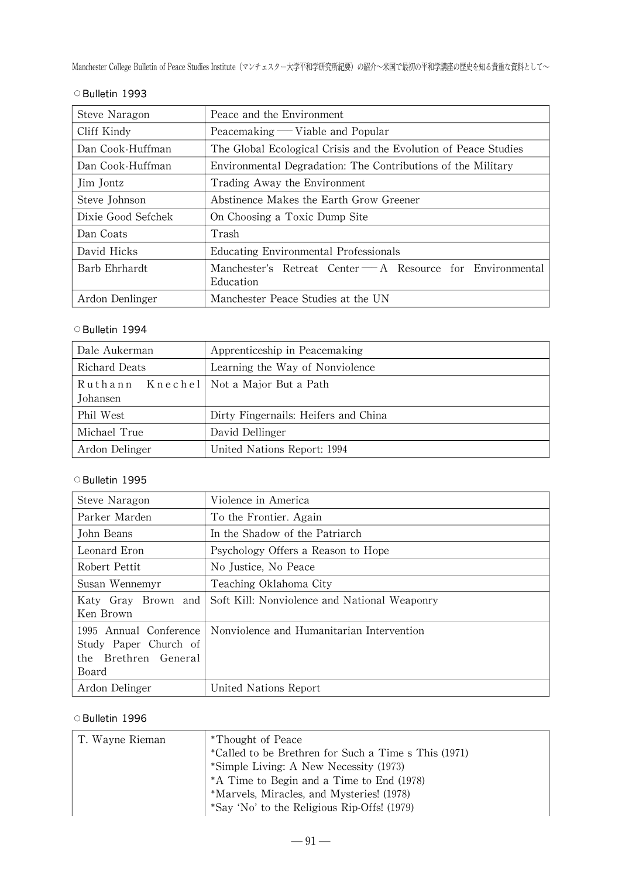Manchester College Bulletin of Peace Studies Institute (マンチェスター大学平和学研究所紀要)の紹介~米国で最初の平和学講座の歴史を知る貴重な資料として~

| Steve Naragon      | Peace and the Environment                                               |
|--------------------|-------------------------------------------------------------------------|
| Cliff Kindy        | Peacemaking — Viable and Popular                                        |
| Dan Cook-Huffman   | The Global Ecological Crisis and the Evolution of Peace Studies         |
| Dan Cook-Huffman   | Environmental Degradation: The Contributions of the Military            |
| Jim Jontz          | Trading Away the Environment                                            |
| Steve Johnson      | Abstinence Makes the Earth Grow Greener                                 |
| Dixie Good Sefchek | On Choosing a Toxic Dump Site                                           |
| Dan Coats          | Trash                                                                   |
| David Hicks        | Educating Environmental Professionals                                   |
| Barb Ehrhardt      | Manchester's Retreat Center - A Resource for Environmental<br>Education |
| Ardon Denlinger    | Manchester Peace Studies at the UN                                      |

# ○Bulletin 1993

#### ○Bulletin 1994

| Dale Aukerman                                        | Apprenticeship in Peacemaking        |
|------------------------------------------------------|--------------------------------------|
| Richard Deats                                        | Learning the Way of Nonviolence      |
| Ruthann Knechel   Not a Major But a Path<br>Johansen |                                      |
| Phil West                                            | Dirty Fingernails: Heifers and China |
| Michael True                                         | David Dellinger                      |
| Ardon Delinger                                       | United Nations Report: 1994          |

### ○Bulletin 1995

| Steve Naragon          | Violence in America                          |
|------------------------|----------------------------------------------|
| Parker Marden          | To the Frontier. Again                       |
| John Beans             | In the Shadow of the Patriarch               |
| Leonard Eron           | Psychology Offers a Reason to Hope           |
| Robert Pettit          | No Justice, No Peace                         |
| Susan Wennemyr         | Teaching Oklahoma City                       |
| Katy Gray Brown and    | Soft Kill: Nonviolence and National Weaponry |
| Ken Brown              |                                              |
| 1995 Annual Conference | Nonviolence and Humanitarian Intervention    |
| Study Paper Church of  |                                              |
| the Brethren General   |                                              |
| Board                  |                                              |
| Ardon Delinger         | United Nations Report                        |

| T. Wayne Rieman | *Thought of Peace                                    |
|-----------------|------------------------------------------------------|
|                 | *Called to be Brethren for Such a Time s This (1971) |
|                 | *Simple Living: A New Necessity (1973)               |
|                 | *A Time to Begin and a Time to End (1978)            |
|                 | *Marvels, Miracles, and Mysteries! (1978)            |
|                 | *Say 'No' to the Religious Rip-Offs! (1979)          |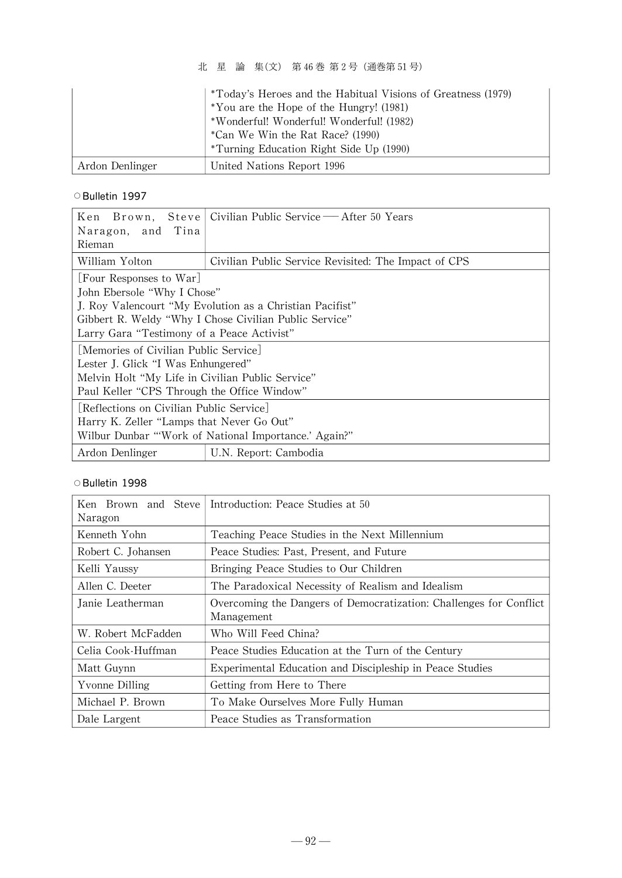北 星 論 集(文) 第 46巻 第2号(通巻第 51号)

|                 | <i>*Today's Heroes and the Habitual Visions of Greatness (1979)</i><br>*You are the Hope of the Hungry! (1981)<br>*Wonderful! Wonderful! Wonderful! (1982)<br>*Can We Win the Rat Race? (1990)<br><i>*Turning Education Right Side Up (1990)</i> |
|-----------------|--------------------------------------------------------------------------------------------------------------------------------------------------------------------------------------------------------------------------------------------------|
| Ardon Denlinger | United Nations Report 1996                                                                                                                                                                                                                       |

#### ○Bulletin 1997

| Stevel<br>Ken<br>Brown,<br>Naragon, and Tina<br>Rieman                                                                                                                                                                     | Civilian Public Service — After 50 Years             |  |
|----------------------------------------------------------------------------------------------------------------------------------------------------------------------------------------------------------------------------|------------------------------------------------------|--|
| William Yolton                                                                                                                                                                                                             | Civilian Public Service Revisited: The Impact of CPS |  |
| [Four Responses to War]<br>John Ebersole "Why I Chose"<br>J. Roy Valencourt "My Evolution as a Christian Pacifist"<br>Gibbert R. Weldy "Why I Chose Civilian Public Service"<br>Larry Gara "Testimony of a Peace Activist" |                                                      |  |
| Memories of Civilian Public Service <br>Lester J. Glick "I Was Enhungered"<br>Melvin Holt "My Life in Civilian Public Service"<br>Paul Keller "CPS Through the Office Window"                                              |                                                      |  |
| Reflections on Civilian Public Service<br>Harry K. Zeller "Lamps that Never Go Out"<br>Wilbur Dunbar "'Work of National Importance.' Again?"                                                                               |                                                      |  |
| Ardon Denlinger                                                                                                                                                                                                            | U.N. Report: Cambodia                                |  |

| Brown and Steve I<br>Ken<br>Naragon | Introduction: Peace Studies at 50                                                |
|-------------------------------------|----------------------------------------------------------------------------------|
| Kenneth Yohn                        | Teaching Peace Studies in the Next Millennium                                    |
| Robert C. Johansen                  | Peace Studies: Past, Present, and Future                                         |
| Kelli Yaussy                        | Bringing Peace Studies to Our Children                                           |
| Allen C. Deeter                     | The Paradoxical Necessity of Realism and Idealism                                |
| Janie Leatherman                    | Overcoming the Dangers of Democratization: Challenges for Conflict<br>Management |
| W. Robert McFadden                  | Who Will Feed China?                                                             |
| Celia Cook-Huffman                  | Peace Studies Education at the Turn of the Century                               |
| Matt Guynn                          | Experimental Education and Discipleship in Peace Studies                         |
| Yvonne Dilling                      | Getting from Here to There                                                       |
| Michael P. Brown                    | To Make Ourselves More Fully Human                                               |
| Dale Largent                        | Peace Studies as Transformation                                                  |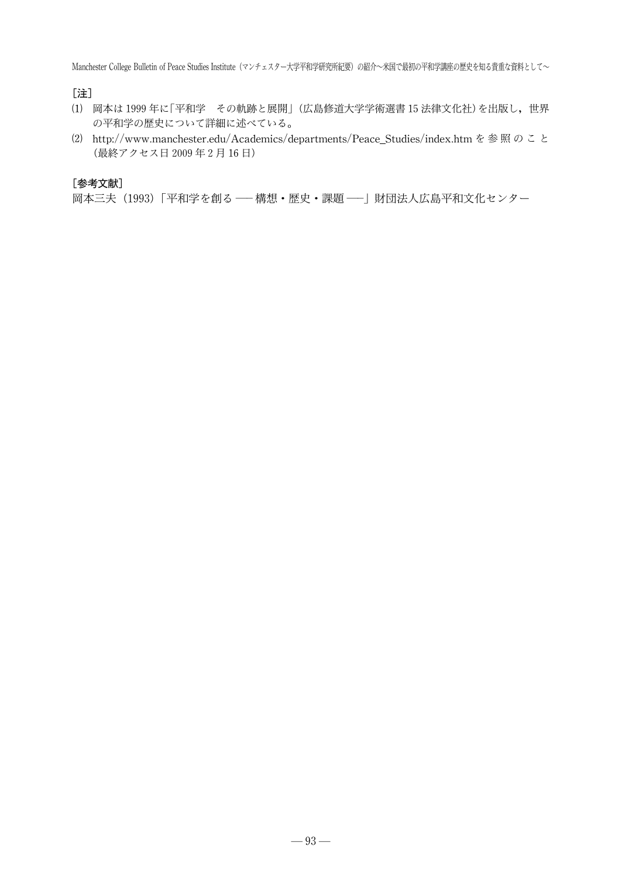[注]

- ⑴ 岡本は 1999年に「平和学 その軌跡と展開」(広島修道大学学術選書 15法律文化社)を出版し,世界 の平和学の歴史について詳細に述べている。
- ⑵ http://www.manchester.edu/Academics/departments/Peace Studies/index.htmを 参 照 の こ と (最終アクセス日 2009年2月 16日)

#### [参考文献]

岡本三夫 (1993)「平和学を創る –– 構想・歴史・課題 –– | 財団法人広島平和文化センター